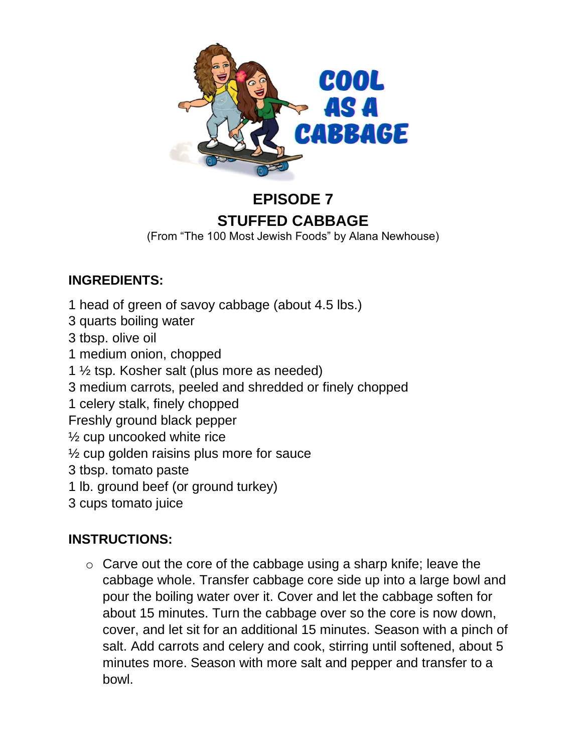

## **EPISODE 7 STUFFED CABBAGE**

(From "The 100 Most Jewish Foods" by Alana Newhouse)

## **INGREDIENTS:**

- 1 head of green of savoy cabbage (about 4.5 lbs.)
- 3 quarts boiling water
- 3 tbsp. olive oil
- 1 medium onion, chopped
- 1 ½ tsp. Kosher salt (plus more as needed)
- 3 medium carrots, peeled and shredded or finely chopped
- 1 celery stalk, finely chopped
- Freshly ground black pepper
- ½ cup uncooked white rice
- $\frac{1}{2}$  cup golden raisins plus more for sauce
- 3 tbsp. tomato paste
- 1 lb. ground beef (or ground turkey)
- 3 cups tomato juice

## **INSTRUCTIONS:**

 $\circ$  Carve out the core of the cabbage using a sharp knife; leave the cabbage whole. Transfer cabbage core side up into a large bowl and pour the boiling water over it. Cover and let the cabbage soften for about 15 minutes. Turn the cabbage over so the core is now down, cover, and let sit for an additional 15 minutes. Season with a pinch of salt. Add carrots and celery and cook, stirring until softened, about 5 minutes more. Season with more salt and pepper and transfer to a bowl.